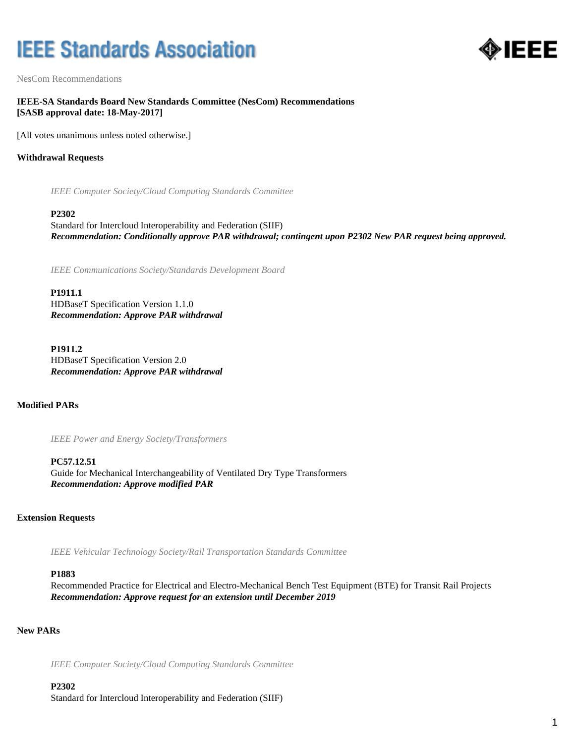# **IEEE Standards Association**



NesCom Recommendations

**IEEE-SA Standards Board New Standards Committee (NesCom) Recommendations [SASB approval date: 18-May-2017]**

[All votes unanimous unless noted otherwise.]

## **Withdrawal Requests**

*IEEE Computer Society/Cloud Computing Standards Committee*

#### **P2302**

Standard for Intercloud Interoperability and Federation (SIIF) *Recommendation: Conditionally approve PAR withdrawal; contingent upon P2302 New PAR request being approved.*

*IEEE Communications Society/Standards Development Board*

**P1911.1** HDBaseT Specification Version 1.1.0 *Recommendation: Approve PAR withdrawal*

**P1911.2** HDBaseT Specification Version 2.0 *Recommendation: Approve PAR withdrawal*

**Modified PARs**

*IEEE Power and Energy Society/Transformers*

**PC57.12.51** Guide for Mechanical Interchangeability of Ventilated Dry Type Transformers *Recommendation: Approve modified PAR*

#### **Extension Requests**

*IEEE Vehicular Technology Society/Rail Transportation Standards Committee*

#### **P1883**

Recommended Practice for Electrical and Electro-Mechanical Bench Test Equipment (BTE) for Transit Rail Projects *Recommendation: Approve request for an extension until December 2019*

## **New PARs**

*IEEE Computer Society/Cloud Computing Standards Committee*

### **P2302**

Standard for Intercloud Interoperability and Federation (SIIF)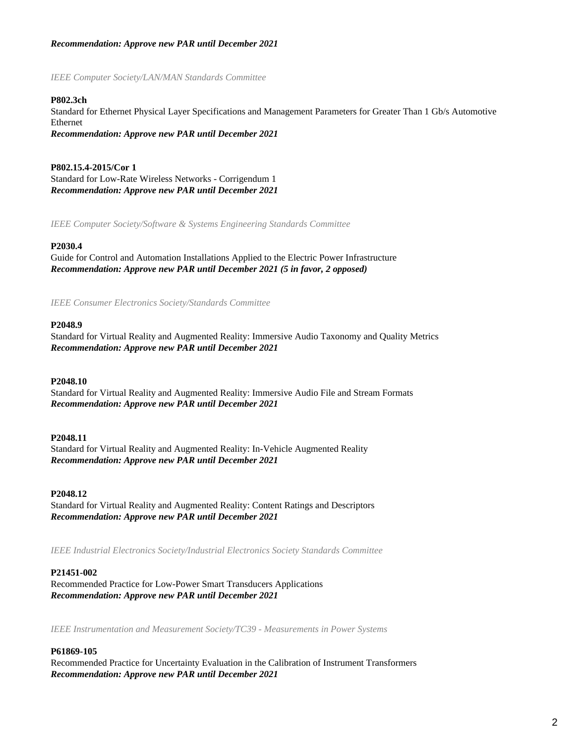## *Recommendation: Approve new PAR until December 2021*

### *IEEE Computer Society/LAN/MAN Standards Committee*

### **P802.3ch**

Standard for Ethernet Physical Layer Specifications and Management Parameters for Greater Than 1 Gb/s Automotive Ethernet *Recommendation: Approve new PAR until December 2021*

**P802.15.4-2015/Cor 1** Standard for Low-Rate Wireless Networks - Corrigendum 1 *Recommendation: Approve new PAR until December 2021*

*IEEE Computer Society/Software & Systems Engineering Standards Committee*

#### **P2030.4**

Guide for Control and Automation Installations Applied to the Electric Power Infrastructure *Recommendation: Approve new PAR until December 2021 (5 in favor, 2 opposed)*

*IEEE Consumer Electronics Society/Standards Committee*

## **P2048.9**

Standard for Virtual Reality and Augmented Reality: Immersive Audio Taxonomy and Quality Metrics *Recommendation: Approve new PAR until December 2021*

#### **P2048.10**

Standard for Virtual Reality and Augmented Reality: Immersive Audio File and Stream Formats *Recommendation: Approve new PAR until December 2021*

#### **P2048.11**

Standard for Virtual Reality and Augmented Reality: In-Vehicle Augmented Reality *Recommendation: Approve new PAR until December 2021*

#### **P2048.12**

Standard for Virtual Reality and Augmented Reality: Content Ratings and Descriptors *Recommendation: Approve new PAR until December 2021*

*IEEE Industrial Electronics Society/Industrial Electronics Society Standards Committee*

#### **P21451-002**

Recommended Practice for Low-Power Smart Transducers Applications *Recommendation: Approve new PAR until December 2021*

*IEEE Instrumentation and Measurement Society/TC39 - Measurements in Power Systems*

#### **P61869-105**

Recommended Practice for Uncertainty Evaluation in the Calibration of Instrument Transformers *Recommendation: Approve new PAR until December 2021*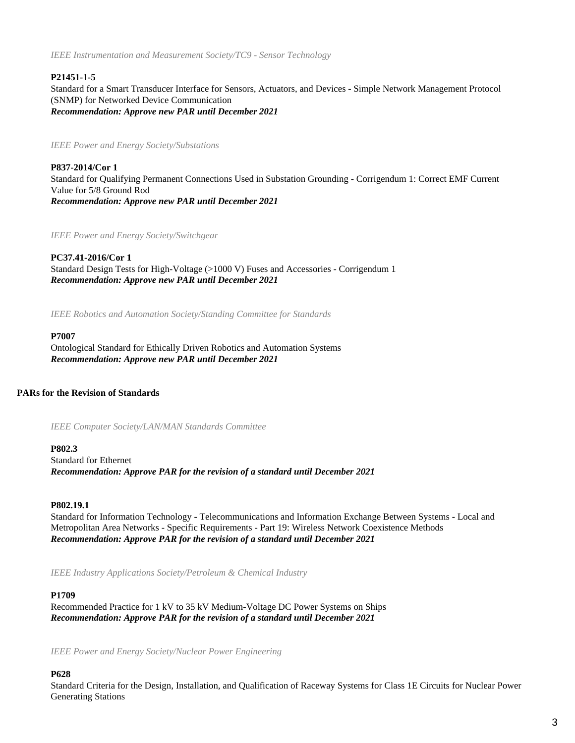*IEEE Instrumentation and Measurement Society/TC9 - Sensor Technology*

## **P21451-1-5**

Standard for a Smart Transducer Interface for Sensors, Actuators, and Devices - Simple Network Management Protocol (SNMP) for Networked Device Communication *Recommendation: Approve new PAR until December 2021*

*IEEE Power and Energy Society/Substations*

**P837-2014/Cor 1** Standard for Qualifying Permanent Connections Used in Substation Grounding - Corrigendum 1: Correct EMF Current Value for 5/8 Ground Rod *Recommendation: Approve new PAR until December 2021*

*IEEE Power and Energy Society/Switchgear*

**PC37.41-2016/Cor 1** Standard Design Tests for High-Voltage (>1000 V) Fuses and Accessories - Corrigendum 1 *Recommendation: Approve new PAR until December 2021*

*IEEE Robotics and Automation Society/Standing Committee for Standards*

## **P7007**

Ontological Standard for Ethically Driven Robotics and Automation Systems *Recommendation: Approve new PAR until December 2021*

## **PARs for the Revision of Standards**

*IEEE Computer Society/LAN/MAN Standards Committee*

**P802.3**

Standard for Ethernet *Recommendation: Approve PAR for the revision of a standard until December 2021*

## **P802.19.1**

Standard for Information Technology - Telecommunications and Information Exchange Between Systems - Local and Metropolitan Area Networks - Specific Requirements - Part 19: Wireless Network Coexistence Methods *Recommendation: Approve PAR for the revision of a standard until December 2021*

*IEEE Industry Applications Society/Petroleum & Chemical Industry*

## **P1709**

Recommended Practice for 1 kV to 35 kV Medium-Voltage DC Power Systems on Ships *Recommendation: Approve PAR for the revision of a standard until December 2021*

*IEEE Power and Energy Society/Nuclear Power Engineering*

## **P628**

Standard Criteria for the Design, Installation, and Qualification of Raceway Systems for Class 1E Circuits for Nuclear Power Generating Stations